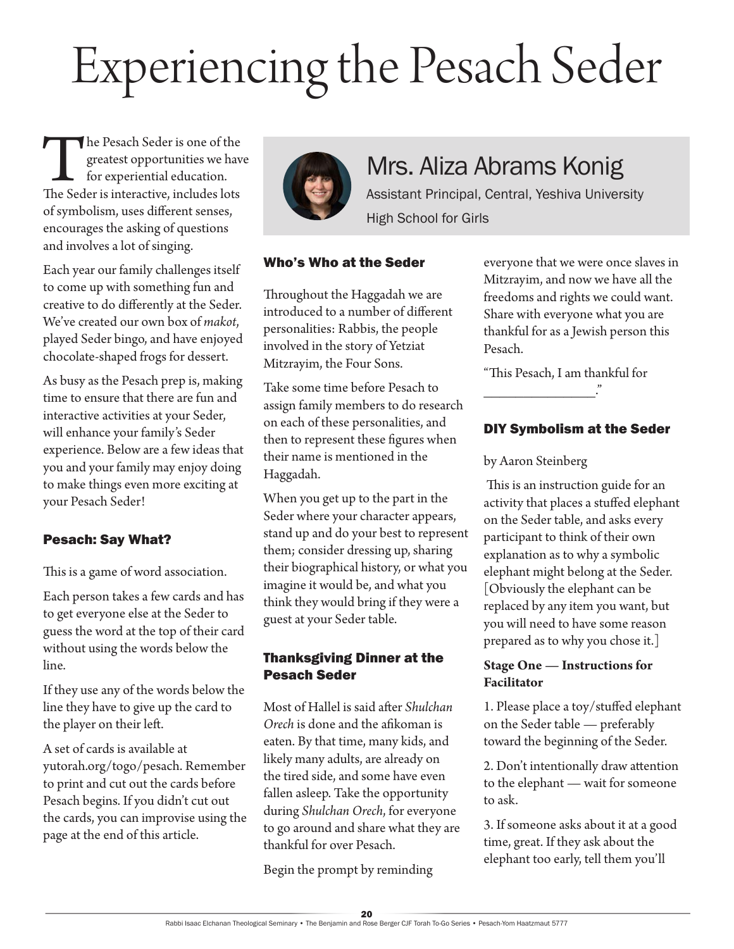# Experiencing the Pesach Seder

The Pesach Seder is one of the greatest opportunities we have for experiential education.<br>The Seder is interactive, includes lots greatest opportunities we have for experiential education. of symbolism, uses different senses, encourages the asking of questions and involves a lot of singing.

Each year our family challenges itself to come up with something fun and creative to do differently at the Seder. We've created our own box of *makot*, played Seder bingo, and have enjoyed chocolate-shaped frogs for dessert.

As busy as the Pesach prep is, making time to ensure that there are fun and interactive activities at your Seder, will enhance your family's Seder experience. Below are a few ideas that you and your family may enjoy doing to make things even more exciting at your Pesach Seder!

# Pesach: Say What?

This is a game of word association.

Each person takes a few cards and has to get everyone else at the Seder to guess the word at the top of their card without using the words below the line.

If they use any of the words below the line they have to give up the card to the player on their left.

A set of cards is available at yutorah.org/togo/pesach. Remember to print and cut out the cards before Pesach begins. If you didn't cut out the cards, you can improvise using the page at the end of this article.



# Mrs. Aliza Abrams Konig

Assistant Principal, Central, Yeshiva University High School for Girls

# Who's Who at the Seder

Throughout the Haggadah we are introduced to a number of different personalities: Rabbis, the people involved in the story of Yetziat Mitzrayim, the Four Sons.

Take some time before Pesach to assign family members to do research on each of these personalities, and then to represent these figures when their name is mentioned in the Haggadah.

When you get up to the part in the Seder where your character appears, stand up and do your best to represent them; consider dressing up, sharing their biographical history, or what you imagine it would be, and what you think they would bring if they were a guest at your Seder table.

# Thanksgiving Dinner at the Pesach Seder

Most of Hallel is said after *Shulchan Orech* is done and the afikoman is eaten. By that time, many kids, and likely many adults, are already on the tired side, and some have even fallen asleep. Take the opportunity during *Shulchan Orech*, for everyone to go around and share what they are thankful for over Pesach.

Begin the prompt by reminding

everyone that we were once slaves in Mitzrayim, and now we have all the freedoms and rights we could want. Share with everyone what you are thankful for as a Jewish person this Pesach.

"This Pesach, I am thankful for

# DIY Symbolism at the Seder

#### by Aaron Steinberg

 This is an instruction guide for an activity that places a stuffed elephant on the Seder table, and asks every participant to think of their own explanation as to why a symbolic elephant might belong at the Seder. [Obviously the elephant can be replaced by any item you want, but you will need to have some reason prepared as to why you chose it.]

# **Stage One — Instructions for Facilitator**

1. Please place a toy/stuffed elephant on the Seder table — preferably toward the beginning of the Seder.

2. Don't intentionally draw attention to the elephant — wait for someone to ask.

3. If someone asks about it at a good time, great. If they ask about the elephant too early, tell them you'll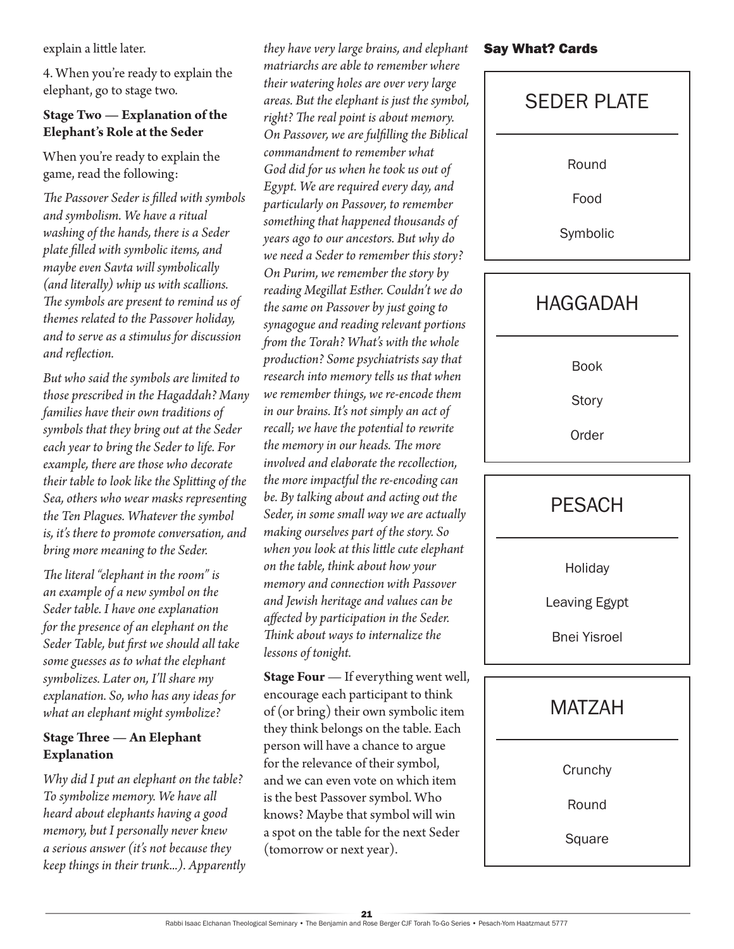explain a little later.

4. When you're ready to explain the elephant, go to stage two.

# **Stage Two — Explanation of the Elephant's Role at the Seder**

When you're ready to explain the game, read the following:

*The Passover Seder is filled with symbols and symbolism. We have a ritual washing of the hands, there is a Seder plate filled with symbolic items, and maybe even Savta will symbolically (and literally) whip us with scallions. The symbols are present to remind us of themes related to the Passover holiday, and to serve as a stimulus for discussion and reflection.*

*But who said the symbols are limited to those prescribed in the Hagaddah? Many families have their own traditions of symbols that they bring out at the Seder each year to bring the Seder to life. For example, there are those who decorate their table to look like the Splitting of the Sea, others who wear masks representing the Ten Plagues. Whatever the symbol is, it's there to promote conversation, and bring more meaning to the Seder.*

*The literal "elephant in the room" is an example of a new symbol on the Seder table. I have one explanation for the presence of an elephant on the Seder Table, but first we should all take some guesses as to what the elephant symbolizes. Later on, I'll share my explanation. So, who has any ideas for what an elephant might symbolize?*

# **Stage Three — An Elephant Explanation**

*Why did I put an elephant on the table? To symbolize memory. We have all heard about elephants having a good memory, but I personally never knew a serious answer (it's not because they keep things in their trunk...). Apparently* 

*they have very large brains, and elephant matriarchs are able to remember where their watering holes are over very large areas. But the elephant is just the symbol, right? The real point is about memory. On Passover, we are fulfilling the Biblical commandment to remember what God did for us when he took us out of Egypt. We are required every day, and particularly on Passover, to remember something that happened thousands of years ago to our ancestors. But why do we need a Seder to remember this story? On Purim, we remember the story by reading Megillat Esther. Couldn't we do the same on Passover by just going to synagogue and reading relevant portions from the Torah? What's with the whole production? Some psychiatrists say that research into memory tells us that when we remember things, we re-encode them in our brains. It's not simply an act of recall; we have the potential to rewrite the memory in our heads. The more involved and elaborate the recollection, the more impactful the re-encoding can be. By talking about and acting out the Seder, in some small way we are actually making ourselves part of the story. So when you look at this little cute elephant on the table, think about how your memory and connection with Passover and Jewish heritage and values can be affected by participation in the Seder. Think about ways to internalize the lessons of tonight.* 

**Stage Four** — If everything went well, encourage each participant to think of (or bring) their own symbolic item they think belongs on the table. Each person will have a chance to argue for the relevance of their symbol, and we can even vote on which item is the best Passover symbol. Who knows? Maybe that symbol will win a spot on the table for the next Seder (tomorrow or next year).

# Say What? Cards

SEDER PLATE Round Food Symbolic **HAGGADAH** Book **Story** Order **PESACH Holiday** Leaving Egypt Bnei Yisroel



**Crunchy** 

Round

Square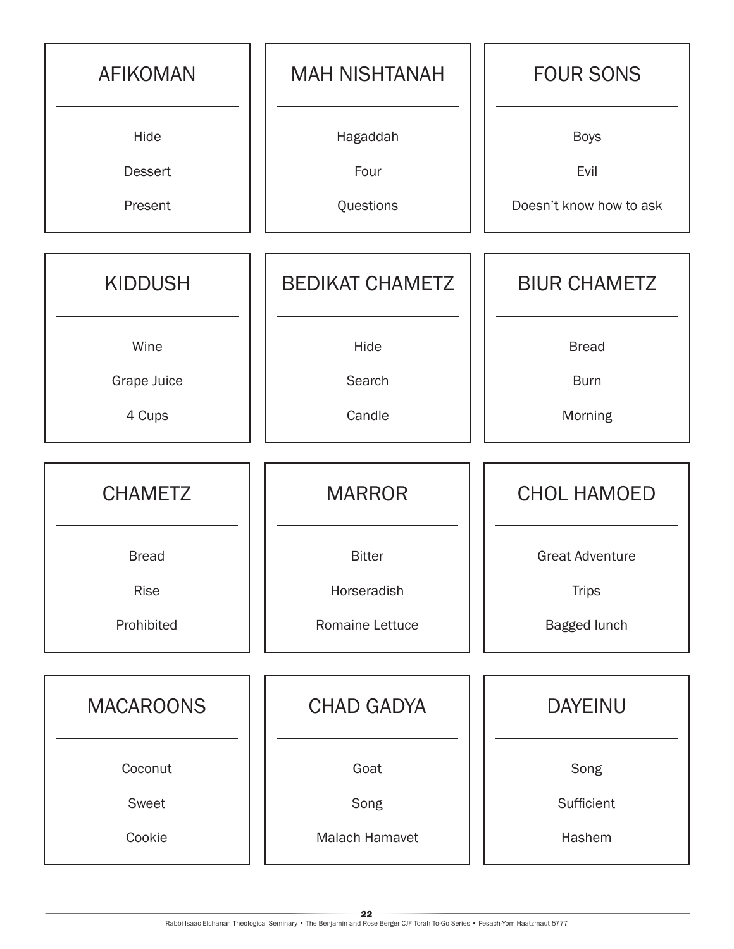| <b>AFIKOMAN</b>  | <b>MAH NISHTANAH</b>   | <b>FOUR SONS</b>        |
|------------------|------------------------|-------------------------|
| Hide             | Hagaddah               | <b>Boys</b>             |
| <b>Dessert</b>   | Four                   | Evil                    |
| Present          | Questions              | Doesn't know how to ask |
| <b>KIDDUSH</b>   | <b>BEDIKAT CHAMETZ</b> | <b>BIUR CHAMETZ</b>     |
| Wine             | Hide                   | <b>Bread</b>            |
| Grape Juice      | Search                 | <b>Burn</b>             |
| 4 Cups           | Candle                 | Morning                 |
| <b>CHAMETZ</b>   | <b>MARROR</b>          | <b>CHOL HAMOED</b>      |
| <b>Bread</b>     | <b>Bitter</b>          | <b>Great Adventure</b>  |
| Rise             | Horseradish            | <b>Trips</b>            |
| Prohibited       | Romaine Lettuce        | Bagged lunch            |
|                  |                        |                         |
| <b>MACAROONS</b> | <b>CHAD GADYA</b>      | <b>DAYEINU</b>          |
| Coconut          | Goat                   | Song                    |
| Sweet            | Song                   | Sufficient              |
| Cookie           | <b>Malach Hamavet</b>  | Hashem                  |